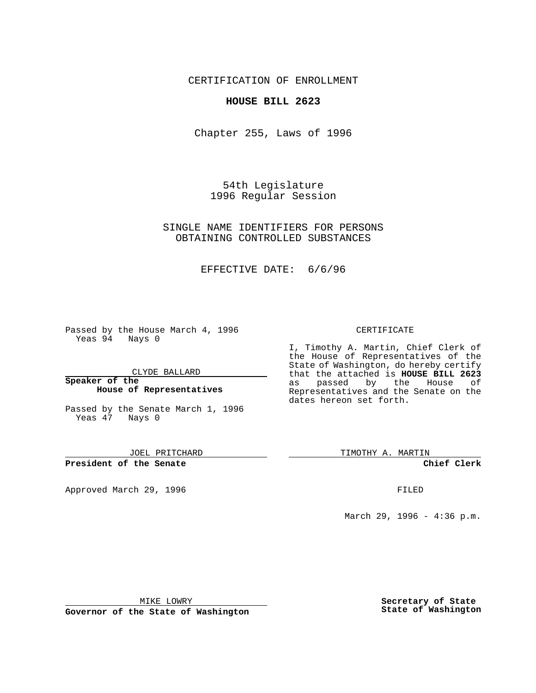CERTIFICATION OF ENROLLMENT

## **HOUSE BILL 2623**

Chapter 255, Laws of 1996

54th Legislature 1996 Regular Session

SINGLE NAME IDENTIFIERS FOR PERSONS OBTAINING CONTROLLED SUBSTANCES

EFFECTIVE DATE: 6/6/96

Passed by the House March 4, 1996 Yeas 94 Nays 0

CLYDE BALLARD

#### **Speaker of the House of Representatives**

Passed by the Senate March 1, 1996 Yeas 47 Nays 0

JOEL PRITCHARD

**President of the Senate**

Approved March 29, 1996 **FILED** 

### CERTIFICATE

I, Timothy A. Martin, Chief Clerk of the House of Representatives of the State of Washington, do hereby certify that the attached is **HOUSE BILL 2623** as passed by the House of Representatives and the Senate on the dates hereon set forth.

TIMOTHY A. MARTIN

**Chief Clerk**

March 29, 1996 - 4:36 p.m.

MIKE LOWRY

**Governor of the State of Washington**

**Secretary of State State of Washington**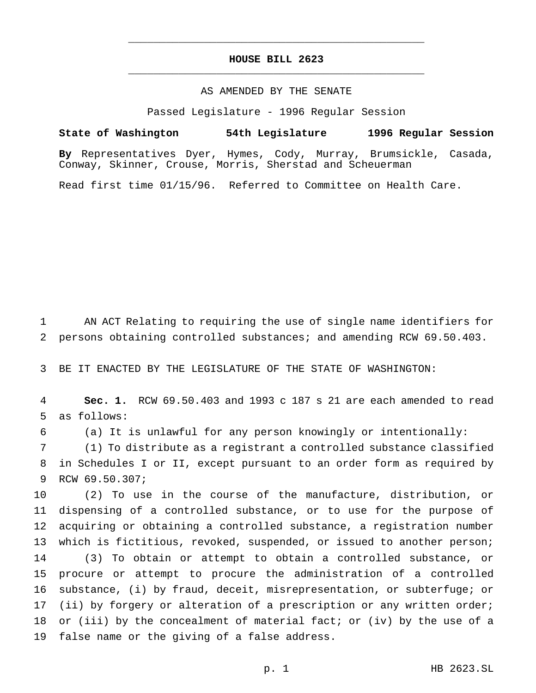# **HOUSE BILL 2623** \_\_\_\_\_\_\_\_\_\_\_\_\_\_\_\_\_\_\_\_\_\_\_\_\_\_\_\_\_\_\_\_\_\_\_\_\_\_\_\_\_\_\_\_\_\_\_

\_\_\_\_\_\_\_\_\_\_\_\_\_\_\_\_\_\_\_\_\_\_\_\_\_\_\_\_\_\_\_\_\_\_\_\_\_\_\_\_\_\_\_\_\_\_\_

### AS AMENDED BY THE SENATE

Passed Legislature - 1996 Regular Session

### **State of Washington 54th Legislature 1996 Regular Session**

**By** Representatives Dyer, Hymes, Cody, Murray, Brumsickle, Casada, Conway, Skinner, Crouse, Morris, Sherstad and Scheuerman

Read first time 01/15/96. Referred to Committee on Health Care.

 AN ACT Relating to requiring the use of single name identifiers for persons obtaining controlled substances; and amending RCW 69.50.403.

BE IT ENACTED BY THE LEGISLATURE OF THE STATE OF WASHINGTON:

 **Sec. 1.** RCW 69.50.403 and 1993 c 187 s 21 are each amended to read as follows:

(a) It is unlawful for any person knowingly or intentionally:

 (1) To distribute as a registrant a controlled substance classified in Schedules I or II, except pursuant to an order form as required by RCW 69.50.307;

 (2) To use in the course of the manufacture, distribution, or dispensing of a controlled substance, or to use for the purpose of acquiring or obtaining a controlled substance, a registration number 13 which is fictitious, revoked, suspended, or issued to another person; (3) To obtain or attempt to obtain a controlled substance, or procure or attempt to procure the administration of a controlled substance, (i) by fraud, deceit, misrepresentation, or subterfuge; or (ii) by forgery or alteration of a prescription or any written order; or (iii) by the concealment of material fact; or (iv) by the use of a false name or the giving of a false address.